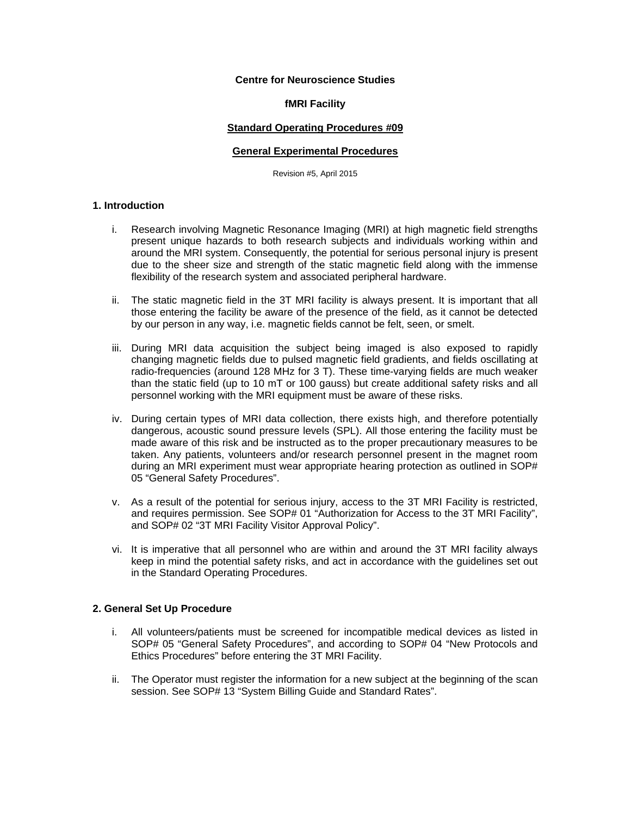# **Centre for Neuroscience Studies**

### **fMRI Facility**

### **Standard Operating Procedures #09**

#### **General Experimental Procedures**

Revision #5, April 2015

# **1. Introduction**

- i. Research involving Magnetic Resonance Imaging (MRI) at high magnetic field strengths present unique hazards to both research subjects and individuals working within and around the MRI system. Consequently, the potential for serious personal injury is present due to the sheer size and strength of the static magnetic field along with the immense flexibility of the research system and associated peripheral hardware.
- ii. The static magnetic field in the 3T MRI facility is always present. It is important that all those entering the facility be aware of the presence of the field, as it cannot be detected by our person in any way, i.e. magnetic fields cannot be felt, seen, or smelt.
- iii. During MRI data acquisition the subject being imaged is also exposed to rapidly changing magnetic fields due to pulsed magnetic field gradients, and fields oscillating at radio-frequencies (around 128 MHz for 3 T). These time-varying fields are much weaker than the static field (up to 10 mT or 100 gauss) but create additional safety risks and all personnel working with the MRI equipment must be aware of these risks.
- iv. During certain types of MRI data collection, there exists high, and therefore potentially dangerous, acoustic sound pressure levels (SPL). All those entering the facility must be made aware of this risk and be instructed as to the proper precautionary measures to be taken. Any patients, volunteers and/or research personnel present in the magnet room during an MRI experiment must wear appropriate hearing protection as outlined in SOP# 05 "General Safety Procedures".
- v. As a result of the potential for serious injury, access to the 3T MRI Facility is restricted, and requires permission. See SOP# 01 "Authorization for Access to the 3T MRI Facility", and SOP# 02 "3T MRI Facility Visitor Approval Policy".
- vi. It is imperative that all personnel who are within and around the 3T MRI facility always keep in mind the potential safety risks, and act in accordance with the guidelines set out in the Standard Operating Procedures.

## **2. General Set Up Procedure**

- i. All volunteers/patients must be screened for incompatible medical devices as listed in SOP# 05 "General Safety Procedures", and according to SOP# 04 "New Protocols and Ethics Procedures" before entering the 3T MRI Facility.
- ii. The Operator must register the information for a new subject at the beginning of the scan session. See SOP# 13 "System Billing Guide and Standard Rates".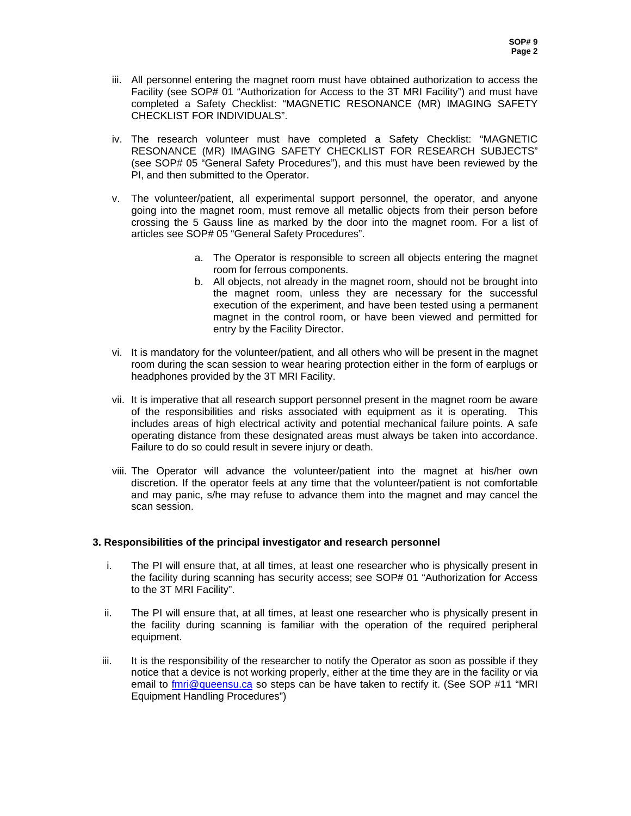- iii. All personnel entering the magnet room must have obtained authorization to access the Facility (see SOP# 01 "Authorization for Access to the 3T MRI Facility") and must have completed a Safety Checklist: "MAGNETIC RESONANCE (MR) IMAGING SAFETY CHECKLIST FOR INDIVIDUALS".
- iv. The research volunteer must have completed a Safety Checklist: "MAGNETIC RESONANCE (MR) IMAGING SAFETY CHECKLIST FOR RESEARCH SUBJECTS" (see SOP# 05 "General Safety Procedures"), and this must have been reviewed by the PI, and then submitted to the Operator.
- v. The volunteer/patient, all experimental support personnel, the operator, and anyone going into the magnet room, must remove all metallic objects from their person before crossing the 5 Gauss line as marked by the door into the magnet room. For a list of articles see SOP# 05 "General Safety Procedures".
	- a. The Operator is responsible to screen all objects entering the magnet room for ferrous components.
	- b. All objects, not already in the magnet room, should not be brought into the magnet room, unless they are necessary for the successful execution of the experiment, and have been tested using a permanent magnet in the control room, or have been viewed and permitted for entry by the Facility Director.
- vi. It is mandatory for the volunteer/patient, and all others who will be present in the magnet room during the scan session to wear hearing protection either in the form of earplugs or headphones provided by the 3T MRI Facility.
- vii. It is imperative that all research support personnel present in the magnet room be aware of the responsibilities and risks associated with equipment as it is operating. This includes areas of high electrical activity and potential mechanical failure points. A safe operating distance from these designated areas must always be taken into accordance. Failure to do so could result in severe injury or death.
- viii. The Operator will advance the volunteer/patient into the magnet at his/her own discretion. If the operator feels at any time that the volunteer/patient is not comfortable and may panic, s/he may refuse to advance them into the magnet and may cancel the scan session.

## **3. Responsibilities of the principal investigator and research personnel**

- i. The PI will ensure that, at all times, at least one researcher who is physically present in the facility during scanning has security access; see SOP# 01 "Authorization for Access to the 3T MRI Facility".
- ii. The PI will ensure that, at all times, at least one researcher who is physically present in the facility during scanning is familiar with the operation of the required peripheral equipment.
- iii. It is the responsibility of the researcher to notify the Operator as soon as possible if they notice that a device is not working properly, either at the time they are in the facility or via email to *fmri@queensu.ca* so steps can be have taken to rectify it. (See SOP #11 "MRI Equipment Handling Procedures")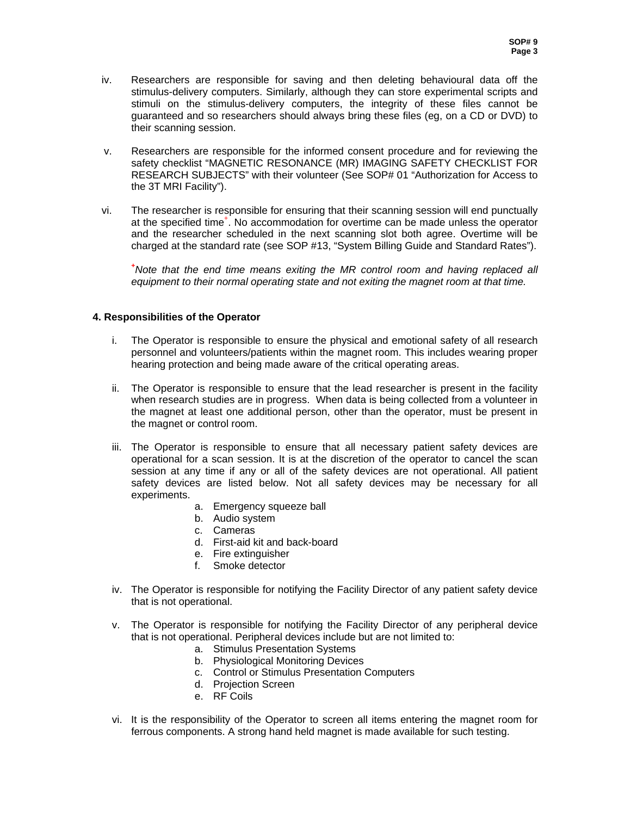- iv. Researchers are responsible for saving and then deleting behavioural data off the stimulus-delivery computers. Similarly, although they can store experimental scripts and stimuli on the stimulus-delivery computers, the integrity of these files cannot be guaranteed and so researchers should always bring these files (eg, on a CD or DVD) to their scanning session.
- v. Researchers are responsible for the informed consent procedure and for reviewing the safety checklist "MAGNETIC RESONANCE (MR) IMAGING SAFETY CHECKLIST FOR RESEARCH SUBJECTS" with their volunteer (See SOP# 01 "Authorization for Access to the 3T MRI Facility").
- vi. The researcher is responsible for ensuring that their scanning session will end punctually at the specified time<sup>+</sup>. No accommodation for overtime can be made unless the operator and the researcher scheduled in the next scanning slot both agree. Overtime will be charged at the standard rate (see SOP #13, "System Billing Guide and Standard Rates").

**+** *Note that the end time means exiting the MR control room and having replaced all equipment to their normal operating state and not exiting the magnet room at that time.* 

## **4. Responsibilities of the Operator**

- i. The Operator is responsible to ensure the physical and emotional safety of all research personnel and volunteers/patients within the magnet room. This includes wearing proper hearing protection and being made aware of the critical operating areas.
- ii. The Operator is responsible to ensure that the lead researcher is present in the facility when research studies are in progress. When data is being collected from a volunteer in the magnet at least one additional person, other than the operator, must be present in the magnet or control room.
- iii. The Operator is responsible to ensure that all necessary patient safety devices are operational for a scan session. It is at the discretion of the operator to cancel the scan session at any time if any or all of the safety devices are not operational. All patient safety devices are listed below. Not all safety devices may be necessary for all experiments.
	- a. Emergency squeeze ball
	- b. Audio system
	- c. Cameras
	- d. First-aid kit and back-board
	- e. Fire extinguisher
	- f. Smoke detector
- iv. The Operator is responsible for notifying the Facility Director of any patient safety device that is not operational.
- v. The Operator is responsible for notifying the Facility Director of any peripheral device that is not operational. Peripheral devices include but are not limited to:
	- a. Stimulus Presentation Systems
	- b. Physiological Monitoring Devices
	- c. Control or Stimulus Presentation Computers
	- d. Projection Screen
	- e. RF Coils
- vi. It is the responsibility of the Operator to screen all items entering the magnet room for ferrous components. A strong hand held magnet is made available for such testing.